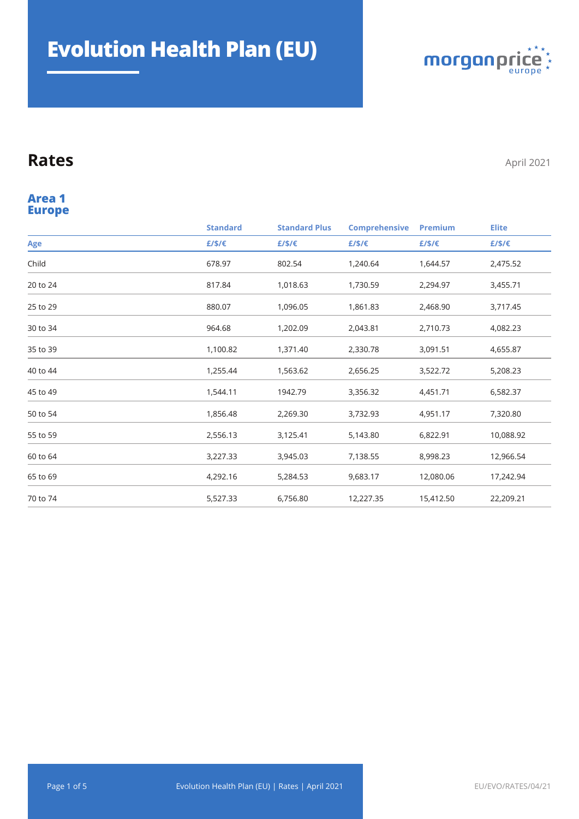

#### **Europe Area 1**

|          | <b>Standard</b> | <b>Standard Plus</b> | <b>Comprehensive</b> | <b>Premium</b> | <b>Elite</b> |
|----------|-----------------|----------------------|----------------------|----------------|--------------|
| Age      | £/\$/€          | £/\$/€               | £/\$/€               | £/\$/€         | £/\$/€       |
| Child    | 678.97          | 802.54               | 1,240.64             | 1,644.57       | 2,475.52     |
| 20 to 24 | 817.84          | 1,018.63             | 1,730.59             | 2,294.97       | 3,455.71     |
| 25 to 29 | 880.07          | 1,096.05             | 1,861.83             | 2,468.90       | 3,717.45     |
| 30 to 34 | 964.68          | 1,202.09             | 2,043.81             | 2,710.73       | 4,082.23     |
| 35 to 39 | 1,100.82        | 1,371.40             | 2,330.78             | 3,091.51       | 4,655.87     |
| 40 to 44 | 1,255.44        | 1,563.62             | 2,656.25             | 3,522.72       | 5,208.23     |
| 45 to 49 | 1,544.11        | 1942.79              | 3,356.32             | 4,451.71       | 6,582.37     |
| 50 to 54 | 1,856.48        | 2,269.30             | 3,732.93             | 4,951.17       | 7,320.80     |
| 55 to 59 | 2,556.13        | 3,125.41             | 5,143.80             | 6,822.91       | 10,088.92    |
| 60 to 64 | 3,227.33        | 3,945.03             | 7,138.55             | 8,998.23       | 12,966.54    |
| 65 to 69 | 4,292.16        | 5,284.53             | 9,683.17             | 12,080.06      | 17,242.94    |
| 70 to 74 | 5,527.33        | 6,756.80             | 12,227.35            | 15,412.50      | 22,209.21    |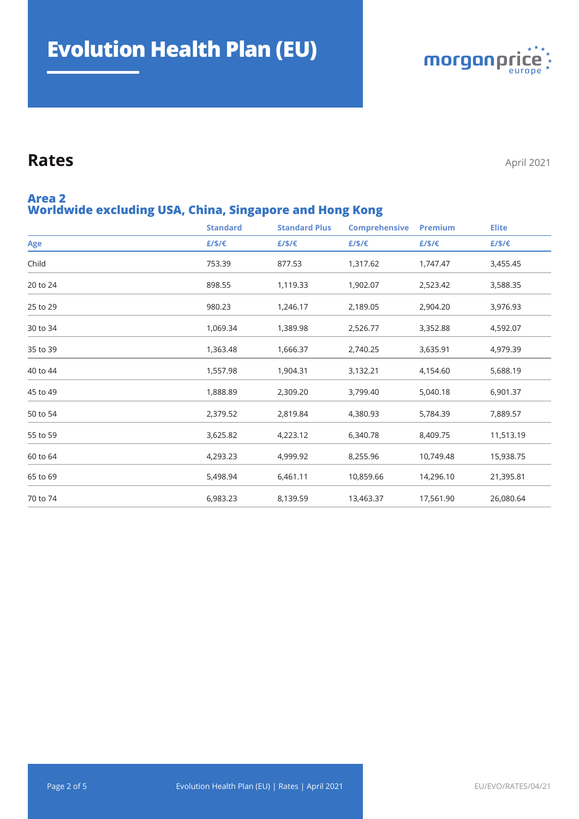

#### **Worldwide excluding USA, China, Singapore and Hong Kong Area 2**

|          | <b>Standard</b> | <b>Standard Plus</b> | <b>Comprehensive</b> | Premium   | <b>Elite</b> |
|----------|-----------------|----------------------|----------------------|-----------|--------------|
| Age      | $E/S/\epsilon$  | £/\$/€               | £/\$/€               | £/\$/€    | E/S/E        |
| Child    | 753.39          | 877.53               | 1,317.62             | 1,747.47  | 3,455.45     |
| 20 to 24 | 898.55          | 1,119.33             | 1,902.07             | 2,523.42  | 3,588.35     |
| 25 to 29 | 980.23          | 1,246.17             | 2,189.05             | 2,904.20  | 3,976.93     |
| 30 to 34 | 1,069.34        | 1,389.98             | 2,526.77             | 3,352.88  | 4,592.07     |
| 35 to 39 | 1,363.48        | 1,666.37             | 2,740.25             | 3,635.91  | 4,979.39     |
| 40 to 44 | 1,557.98        | 1,904.31             | 3,132.21             | 4,154.60  | 5,688.19     |
| 45 to 49 | 1,888.89        | 2,309.20             | 3,799.40             | 5,040.18  | 6,901.37     |
| 50 to 54 | 2,379.52        | 2,819.84             | 4,380.93             | 5,784.39  | 7,889.57     |
| 55 to 59 | 3,625.82        | 4,223.12             | 6,340.78             | 8,409.75  | 11,513.19    |
| 60 to 64 | 4,293.23        | 4,999.92             | 8,255.96             | 10,749.48 | 15,938.75    |
| 65 to 69 | 5,498.94        | 6,461.11             | 10,859.66            | 14,296.10 | 21,395.81    |
| 70 to 74 | 6,983.23        | 8,139.59             | 13,463.37            | 17,561.90 | 26,080.64    |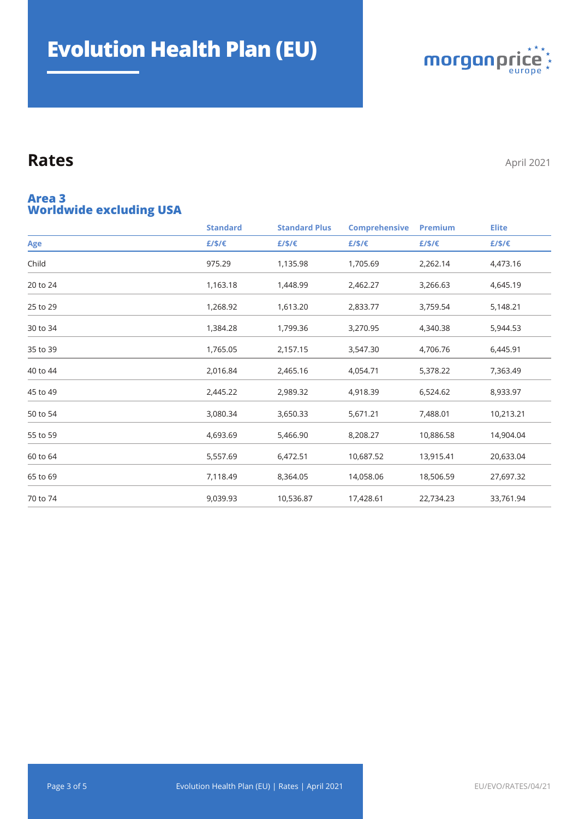

#### **Worldwide excluding USA Area 3**

|          | <b>Standard</b> | <b>Standard Plus</b> | <b>Comprehensive</b> | <b>Premium</b> | <b>Elite</b> |
|----------|-----------------|----------------------|----------------------|----------------|--------------|
| Age      | £/\$/€          | E/S/E                | £/\$/€               | £/\$/€         | £/\$/€       |
| Child    | 975.29          | 1,135.98             | 1,705.69             | 2,262.14       | 4,473.16     |
| 20 to 24 | 1,163.18        | 1,448.99             | 2,462.27             | 3,266.63       | 4,645.19     |
| 25 to 29 | 1,268.92        | 1,613.20             | 2,833.77             | 3,759.54       | 5,148.21     |
| 30 to 34 | 1,384.28        | 1,799.36             | 3,270.95             | 4,340.38       | 5,944.53     |
| 35 to 39 | 1,765.05        | 2,157.15             | 3,547.30             | 4,706.76       | 6,445.91     |
| 40 to 44 | 2,016.84        | 2,465.16             | 4,054.71             | 5,378.22       | 7,363.49     |
| 45 to 49 | 2,445.22        | 2,989.32             | 4,918.39             | 6,524.62       | 8,933.97     |
| 50 to 54 | 3,080.34        | 3,650.33             | 5,671.21             | 7,488.01       | 10,213.21    |
| 55 to 59 | 4,693.69        | 5,466.90             | 8,208.27             | 10,886.58      | 14,904.04    |
| 60 to 64 | 5,557.69        | 6,472.51             | 10,687.52            | 13,915.41      | 20,633.04    |
| 65 to 69 | 7,118.49        | 8,364.05             | 14,058.06            | 18,506.59      | 27,697.32    |
| 70 to 74 | 9,039.93        | 10,536.87            | 17,428.61            | 22,734.23      | 33,761.94    |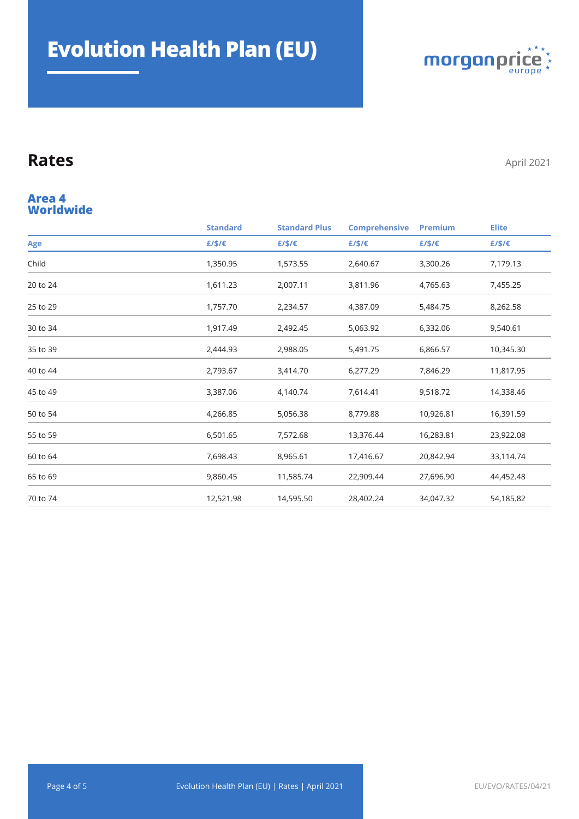

#### **Worldwide Area 4**

|          | <b>Standard</b> | <b>Standard Plus</b> | <b>Comprehensive</b> | <b>Premium</b> | <b>Elite</b> |
|----------|-----------------|----------------------|----------------------|----------------|--------------|
| Age      | E/S/E           | £/\$/€               | £/\$/€               | £/\$/€         | £/\$/€       |
| Child    | 1,350.95        | 1,573.55             | 2,640.67             | 3,300.26       | 7,179.13     |
| 20 to 24 | 1,611.23        | 2,007.11             | 3,811.96             | 4,765.63       | 7,455.25     |
| 25 to 29 | 1,757.70        | 2,234.57             | 4,387.09             | 5,484.75       | 8,262.58     |
| 30 to 34 | 1,917.49        | 2,492.45             | 5,063.92             | 6,332.06       | 9,540.61     |
| 35 to 39 | 2,444.93        | 2,988.05             | 5,491.75             | 6,866.57       | 10,345.30    |
| 40 to 44 | 2,793.67        | 3,414.70             | 6,277.29             | 7,846.29       | 11,817.95    |
| 45 to 49 | 3,387.06        | 4,140.74             | 7,614.41             | 9,518.72       | 14,338.46    |
| 50 to 54 | 4,266.85        | 5,056.38             | 8,779.88             | 10,926.81      | 16,391.59    |
| 55 to 59 | 6,501.65        | 7,572.68             | 13,376.44            | 16,283.81      | 23,922.08    |
| 60 to 64 | 7,698.43        | 8,965.61             | 17,416.67            | 20,842.94      | 33,114.74    |
| 65 to 69 | 9,860.45        | 11,585.74            | 22,909.44            | 27,696.90      | 44,452.48    |
| 70 to 74 | 12,521.98       | 14,595.50            | 28,402.24            | 34,047.32      | 54,185.82    |